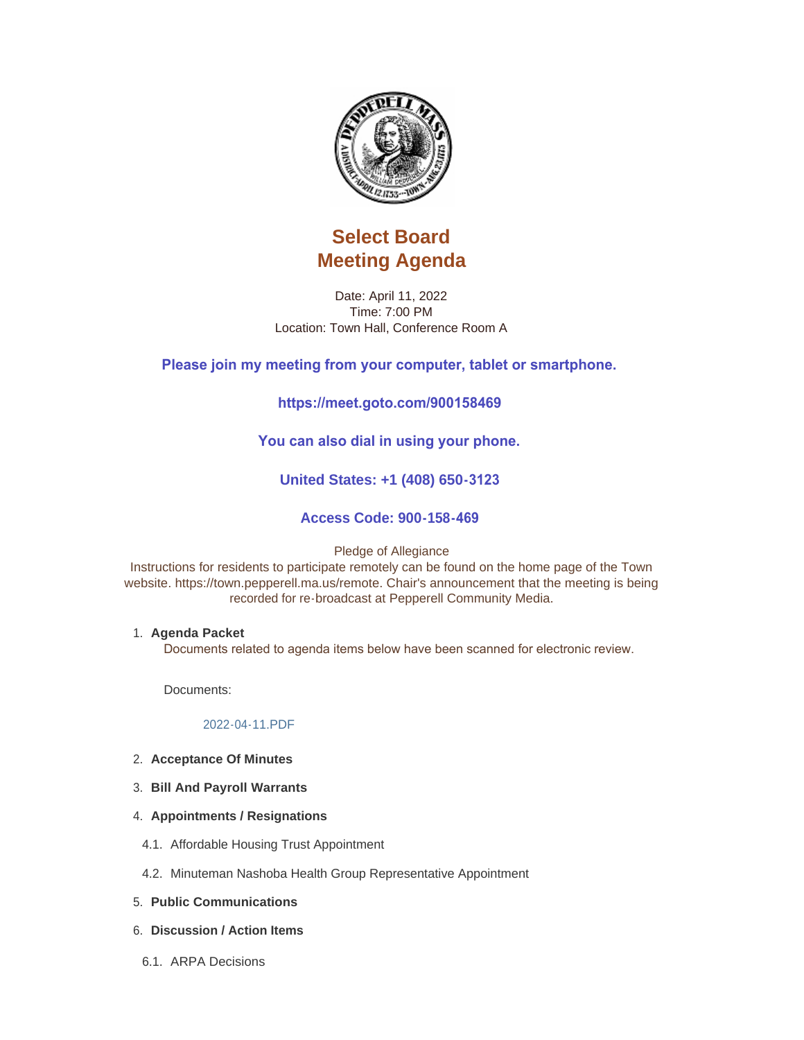

# **Select Board Meeting Agenda**

Date: April 11, 2022 Time: 7:00 PM Location: Town Hall, Conference Room A

## **Please join my meeting from your computer, tablet or smartphone.**

## **https://meet.goto.com/900158469**

## **You can also dial in using your phone.**

## **United States: +1 (408) 650-3123**

## **Access Code: 900-158-469**

Pledge of Allegiance

Instructions for residents to participate remotely can be found on the home page of the Town website. https://town.pepperell.ma.us/remote. Chair's announcement that the meeting is being recorded for re-broadcast at Pepperell Community Media.

#### **Agenda Packet** 1.

Documents related to agenda items below have been scanned for electronic review.

Documents:

#### [2022-04-11.PDF](https://town.pepperell.ma.us/AgendaCenter/ViewFile/Item/21145?fileID=5217)

- **Acceptance Of Minutes** 2.
- **Bill And Payroll Warrants** 3.
- **4. Appointments / Resignations**
- Affordable Housing Trust Appointment 4.1.
- 4.2. Minuteman Nashoba Health Group Representative Appointment
- **Public Communications** 5.
- **Discussion / Action Items** 6.
- 6.1. ARPA Decisions